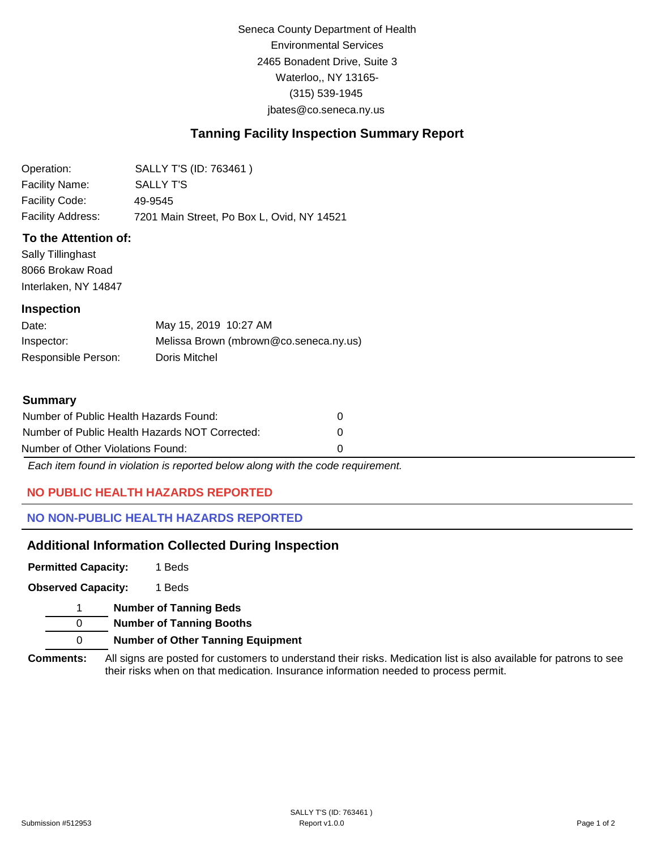Seneca County Department of Health Environmental Services 2465 Bonadent Drive, Suite 3 Waterloo,, NY 13165- (315) 539-1945 [jbates@co.seneca.ny.us](mailto:jbates@co.seneca.ny.us)

# **Tanning Facility Inspection Summary Report**

| Operation:        | SALLY T'S (ID: 763461)                     |
|-------------------|--------------------------------------------|
| Facility Name:    | SALLY T'S                                  |
| Facility Code:    | 49-9545                                    |
| Facility Address: | 7201 Main Street, Po Box L, Ovid, NY 14521 |

## **To the Attention of:**

Sally Tillinghast 8066 Brokaw Road Interlaken, NY 14847

### **Inspection**

| Date:               | May 15, 2019 10:27 AM                  |
|---------------------|----------------------------------------|
| Inspector:          | Melissa Brown (mbrown@co.seneca.ny.us) |
| Responsible Person: | Doris Mitchel                          |

### **Summary**

| Number of Public Health Hazards Found:         | $\mathbf{0}$ |
|------------------------------------------------|--------------|
| Number of Public Health Hazards NOT Corrected: | $\Omega$     |
| Number of Other Violations Found:              | n            |

*Each item found in violation is reported below along with the code requirement.*

# **NO PUBLIC HEALTH HAZARDS REPORTED**

## **NO NON-PUBLIC HEALTH HAZARDS REPORTED**

# **Additional Information Collected During Inspection**

**Permitted Capacity:**  1 Beds

**Observed Capacity:** 1 Beds

1 **Number of Tanning Beds**

0 **Number of Tanning Booths**

0 **Number of Other Tanning Equipment**

**Comments:** All signs are posted for customers to understand their risks. Medication list is also available for patrons to see their risks when on that medication. Insurance information needed to process permit.